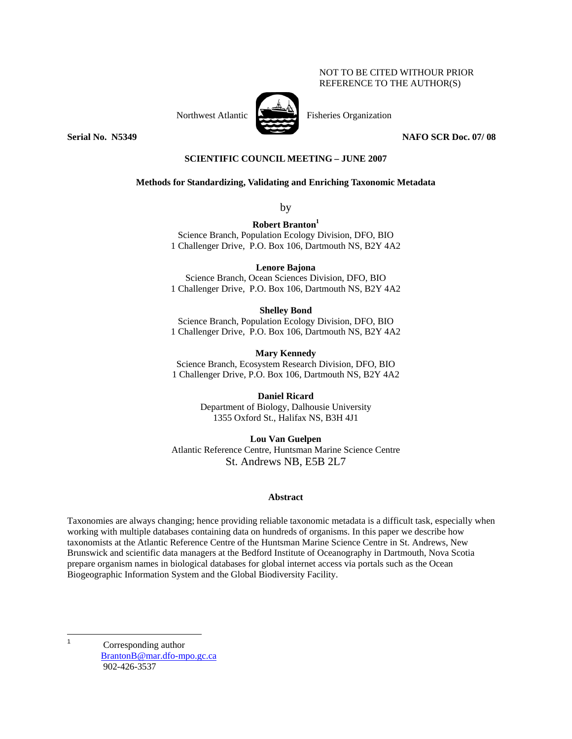## NOT TO BE CITED WITHOUR PRIOR REFERENCE TO THE AUTHOR(S)



Northwest Atlantic Fisheries Organization

**Serial No. 35349 NAFO SCR Doc. 07/ 08** 

## **SCIENTIFIC COUNCIL MEETING – JUNE 2007**

## **Methods for Standardizing, Validating and Enriching Taxonomic Metadata**

by

**Robert Branton1**

Science Branch, Population Ecology Division, DFO, BIO 1 Challenger Drive, P.O. Box 106, Dartmouth NS, B2Y 4A2

### **Lenore Bajona**

Science Branch, Ocean Sciences Division, DFO, BIO 1 Challenger Drive, P.O. Box 106, Dartmouth NS, B2Y 4A2

## **Shelley Bond**

Science Branch, Population Ecology Division, DFO, BIO 1 Challenger Drive, P.O. Box 106, Dartmouth NS, B2Y 4A2

## **Mary Kennedy**

Science Branch, Ecosystem Research Division, DFO, BIO 1 Challenger Drive, P.O. Box 106, Dartmouth NS, B2Y 4A2

> **Daniel Ricard**  Department of Biology, Dalhousie University 1355 Oxford St., Halifax NS, B3H 4J1

**Lou Van Guelpen**  Atlantic Reference Centre, Huntsman Marine Science Centre St. Andrews NB, E5B 2L7

#### **Abstract**

Taxonomies are always changing; hence providing reliable taxonomic metadata is a difficult task, especially when working with multiple databases containing data on hundreds of organisms. In this paper we describe how taxonomists at the Atlantic Reference Centre of the Huntsman Marine Science Centre in St. Andrews, New Brunswick and scientific data managers at the Bedford Institute of Oceanography in Dartmouth, Nova Scotia prepare organism names in biological databases for global internet access via portals such as the Ocean Biogeographic Information System and the Global Biodiversity Facility.

 $\frac{1}{1}$ 

Corresponding author BrantonB@mar.dfo-mpo.gc.ca 902-426-3537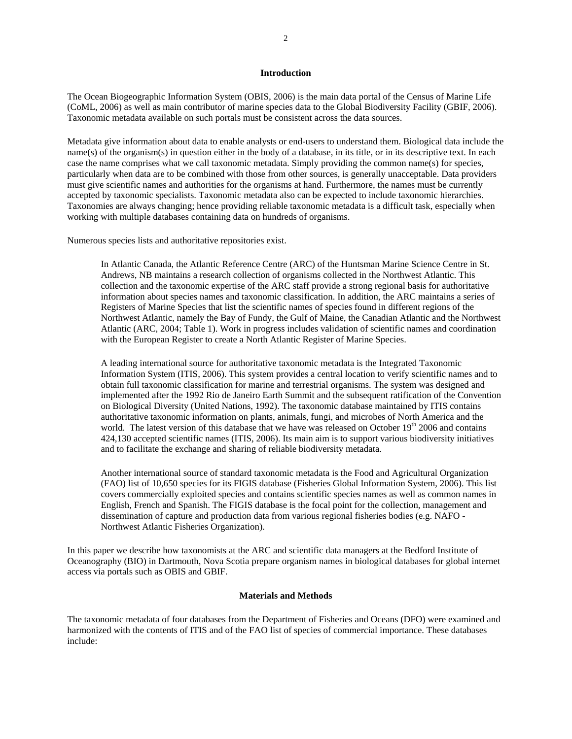## **Introduction**

The Ocean Biogeographic Information System (OBIS, 2006) is the main data portal of the Census of Marine Life (CoML, 2006) as well as main contributor of marine species data to the Global Biodiversity Facility (GBIF, 2006). Taxonomic metadata available on such portals must be consistent across the data sources.

Metadata give information about data to enable analysts or end-users to understand them. Biological data include the name(s) of the organism(s) in question either in the body of a database, in its title, or in its descriptive text. In each case the name comprises what we call taxonomic metadata. Simply providing the common name(s) for species, particularly when data are to be combined with those from other sources, is generally unacceptable. Data providers must give scientific names and authorities for the organisms at hand. Furthermore, the names must be currently accepted by taxonomic specialists. Taxonomic metadata also can be expected to include taxonomic hierarchies. Taxonomies are always changing; hence providing reliable taxonomic metadata is a difficult task, especially when working with multiple databases containing data on hundreds of organisms.

Numerous species lists and authoritative repositories exist.

In Atlantic Canada, the Atlantic Reference Centre (ARC) of the Huntsman Marine Science Centre in St. Andrews, NB maintains a research collection of organisms collected in the Northwest Atlantic. This collection and the taxonomic expertise of the ARC staff provide a strong regional basis for authoritative information about species names and taxonomic classification. In addition, the ARC maintains a series of Registers of Marine Species that list the scientific names of species found in different regions of the Northwest Atlantic, namely the Bay of Fundy, the Gulf of Maine, the Canadian Atlantic and the Northwest Atlantic (ARC, 2004; Table 1). Work in progress includes validation of scientific names and coordination with the European Register to create a North Atlantic Register of Marine Species.

A leading international source for authoritative taxonomic metadata is the Integrated Taxonomic Information System (ITIS, 2006). This system provides a central location to verify scientific names and to obtain full taxonomic classification for marine and terrestrial organisms. The system was designed and implemented after the 1992 Rio de Janeiro Earth Summit and the subsequent ratification of the Convention on Biological Diversity (United Nations, 1992). The taxonomic database maintained by ITIS contains authoritative taxonomic information on plants, animals, fungi, and microbes of North America and the world. The latest version of this database that we have was released on October 19<sup>th</sup> 2006 and contains 424,130 accepted scientific names (ITIS, 2006). Its main aim is to support various biodiversity initiatives and to facilitate the exchange and sharing of reliable biodiversity metadata.

Another international source of standard taxonomic metadata is the Food and Agricultural Organization (FAO) list of 10,650 species for its FIGIS database (Fisheries Global Information System, 2006). This list covers commercially exploited species and contains scientific species names as well as common names in English, French and Spanish. The FIGIS database is the focal point for the collection, management and dissemination of capture and production data from various regional fisheries bodies (e.g. NAFO - Northwest Atlantic Fisheries Organization).

In this paper we describe how taxonomists at the ARC and scientific data managers at the Bedford Institute of Oceanography (BIO) in Dartmouth, Nova Scotia prepare organism names in biological databases for global internet access via portals such as OBIS and GBIF.

#### **Materials and Methods**

The taxonomic metadata of four databases from the Department of Fisheries and Oceans (DFO) were examined and harmonized with the contents of ITIS and of the FAO list of species of commercial importance. These databases include: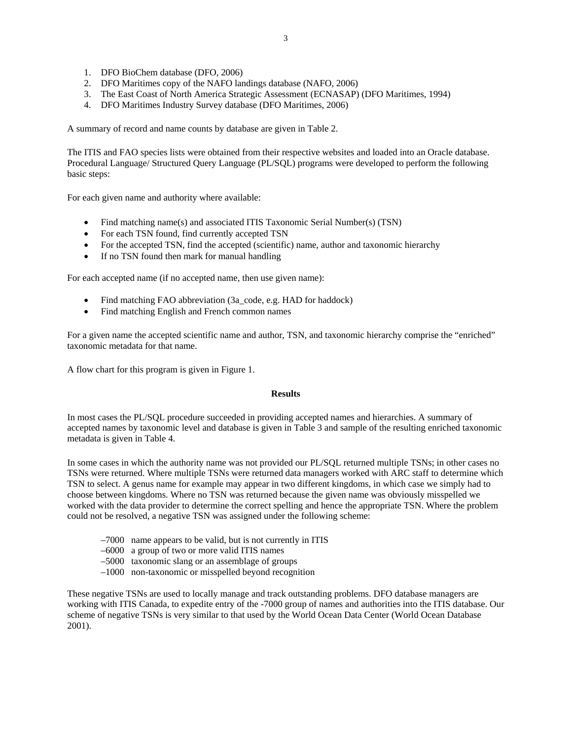- 1. DFO BioChem database (DFO, 2006)
- 2. DFO Maritimes copy of the NAFO landings database (NAFO, 2006)
- 3. The East Coast of North America Strategic Assessment (ECNASAP) (DFO Maritimes, 1994)
- 4. DFO Maritimes Industry Survey database (DFO Maritimes, 2006)

A summary of record and name counts by database are given in Table 2.

The ITIS and FAO species lists were obtained from their respective websites and loaded into an Oracle database. Procedural Language/ Structured Query Language (PL/SQL) programs were developed to perform the following basic steps:

For each given name and authority where available:

- Find matching name(s) and associated ITIS Taxonomic Serial Number(s) (TSN)
- For each TSN found, find currently accepted TSN
- For the accepted TSN, find the accepted (scientific) name, author and taxonomic hierarchy
- If no TSN found then mark for manual handling

For each accepted name (if no accepted name, then use given name):

- Find matching FAO abbreviation (3a\_code, e.g. HAD for haddock)
- Find matching English and French common names

For a given name the accepted scientific name and author, TSN, and taxonomic hierarchy comprise the "enriched" taxonomic metadata for that name.

A flow chart for this program is given in Figure 1.

### **Results**

In most cases the PL/SQL procedure succeeded in providing accepted names and hierarchies. A summary of accepted names by taxonomic level and database is given in Table 3 and sample of the resulting enriched taxonomic metadata is given in Table 4.

In some cases in which the authority name was not provided our PL/SQL returned multiple TSNs; in other cases no TSNs were returned. Where multiple TSNs were returned data managers worked with ARC staff to determine which TSN to select. A genus name for example may appear in two different kingdoms, in which case we simply had to choose between kingdoms. Where no TSN was returned because the given name was obviously misspelled we worked with the data provider to determine the correct spelling and hence the appropriate TSN. Where the problem could not be resolved, a negative TSN was assigned under the following scheme:

- –7000 name appears to be valid, but is not currently in ITIS
- –6000 a group of two or more valid ITIS names
- –5000 taxonomic slang or an assemblage of groups
- –1000 non-taxonomic or misspelled beyond recognition

These negative TSNs are used to locally manage and track outstanding problems. DFO database managers are working with ITIS Canada, to expedite entry of the -7000 group of names and authorities into the ITIS database. Our scheme of negative TSNs is very similar to that used by the World Ocean Data Center (World Ocean Database 2001).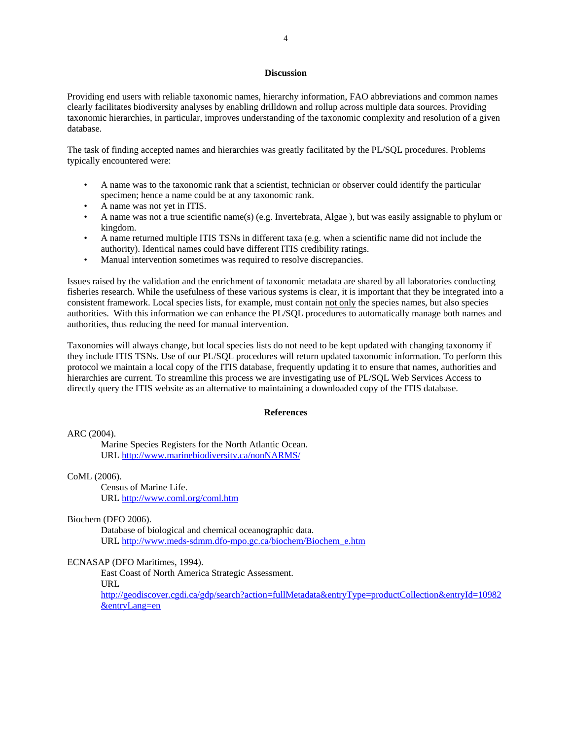## **Discussion**

Providing end users with reliable taxonomic names, hierarchy information, FAO abbreviations and common names clearly facilitates biodiversity analyses by enabling drilldown and rollup across multiple data sources. Providing taxonomic hierarchies, in particular, improves understanding of the taxonomic complexity and resolution of a given database.

The task of finding accepted names and hierarchies was greatly facilitated by the PL/SQL procedures. Problems typically encountered were:

- A name was to the taxonomic rank that a scientist, technician or observer could identify the particular specimen; hence a name could be at any taxonomic rank.
- A name was not yet in ITIS.
- A name was not a true scientific name(s) (e.g. Invertebrata, Algae ), but was easily assignable to phylum or kingdom.
- A name returned multiple ITIS TSNs in different taxa (e.g. when a scientific name did not include the authority). Identical names could have different ITIS credibility ratings.
- Manual intervention sometimes was required to resolve discrepancies.

Issues raised by the validation and the enrichment of taxonomic metadata are shared by all laboratories conducting fisheries research. While the usefulness of these various systems is clear, it is important that they be integrated into a consistent framework. Local species lists, for example, must contain not only the species names, but also species authorities. With this information we can enhance the PL/SQL procedures to automatically manage both names and authorities, thus reducing the need for manual intervention.

Taxonomies will always change, but local species lists do not need to be kept updated with changing taxonomy if they include ITIS TSNs. Use of our PL/SQL procedures will return updated taxonomic information. To perform this protocol we maintain a local copy of the ITIS database, frequently updating it to ensure that names, authorities and hierarchies are current. To streamline this process we are investigating use of PL/SQL Web Services Access to directly query the ITIS website as an alternative to maintaining a downloaded copy of the ITIS database.

### **References**

ARC (2004).

Marine Species Registers for the North Atlantic Ocean. URL http://www.marinebiodiversity.ca/nonNARMS/

CoML (2006).

 Census of Marine Life. URL http://www.coml.org/coml.htm

Biochem (DFO 2006).

Database of biological and chemical oceanographic data. URL http://www.meds-sdmm.dfo-mpo.gc.ca/biochem/Biochem\_e.htm

#### ECNASAP (DFO Maritimes, 1994).

East Coast of North America Strategic Assessment. URL

http://geodiscover.cgdi.ca/gdp/search?action=fullMetadata&entryType=productCollection&entryId=10982 &entryLang=en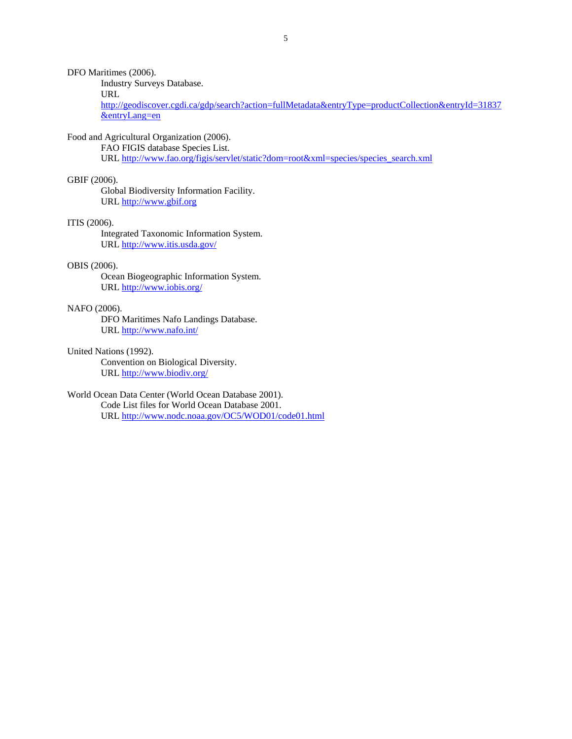DFO Maritimes (2006).

Industry Surveys Database.

URL

http://geodiscover.cgdi.ca/gdp/search?action=fullMetadata&entryType=productCollection&entryId=31837 &entryLang=en

## Food and Agricultural Organization (2006).

FAO FIGIS database Species List. URL http://www.fao.org/figis/servlet/static?dom=root&xml=species/species\_search.xml

#### GBIF (2006).

 Global Biodiversity Information Facility. URL http://www.gbif.org

#### ITIS (2006).

Integrated Taxonomic Information System. URL http://www.itis.usda.gov/

## OBIS (2006).

Ocean Biogeographic Information System. URL http://www.iobis.org/

## NAFO (2006).

DFO Maritimes Nafo Landings Database. URL http://www.nafo.int/

United Nations (1992).

Convention on Biological Diversity. URL http://www.biodiv.org/

## World Ocean Data Center (World Ocean Database 2001).

 Code List files for World Ocean Database 2001. URL http://www.nodc.noaa.gov/OC5/WOD01/code01.html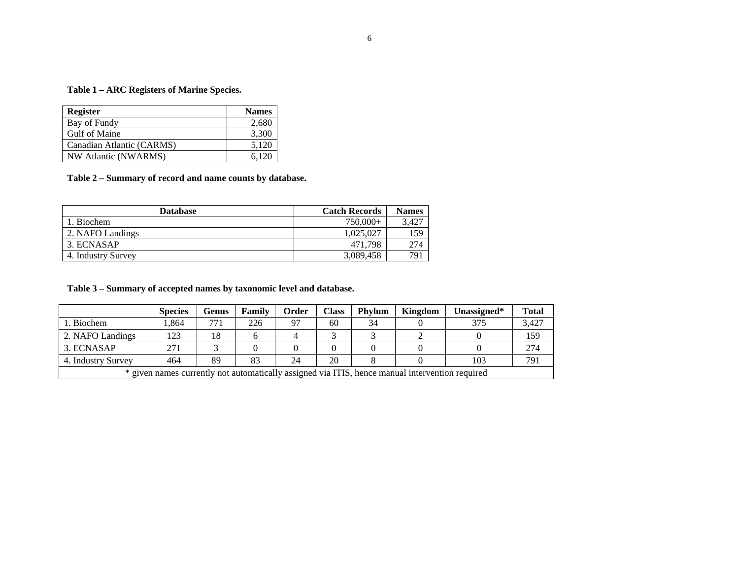# **Table 1 – ARC Registers of Marine Species.**

| <b>Register</b>           | <b>Names</b> |
|---------------------------|--------------|
| Bay of Fundy              | 2,680        |
| Gulf of Maine             | 3,300        |
| Canadian Atlantic (CARMS) | 5,120        |
| NW Atlantic (NWARMS)      | 6.120        |

**Table 2 – Summary of record and name counts by database.** 

| <b>Database</b>    | <b>Catch Records</b> | <b>Names</b> |
|--------------------|----------------------|--------------|
| 1. Biochem         | 750,000+             | 3.427        |
| 2. NAFO Landings   | 1.025.027            | 159          |
| 3. ECNASAP         | 471.798              | 274          |
| 4. Industry Survey | 3,089,458            | 791          |

# **Table 3 – Summary of accepted names by taxonomic level and database.**

|                                                                                                 | <b>Species</b> | Genus | Family | Order | Class | <b>Phylum</b> | Kingdom | Unassigned* | <b>Total</b> |
|-------------------------------------------------------------------------------------------------|----------------|-------|--------|-------|-------|---------------|---------|-------------|--------------|
| . Biochem                                                                                       | .864           | 771   | 226    | 97    | 60    | 34            |         | 375         | 3,427        |
| 2. NAFO Landings                                                                                | 123            | 18    |        |       |       |               |         |             | 159          |
| 3. ECNASAP                                                                                      | 271            |       |        |       |       |               |         |             | 274          |
| 4. Industry Survey                                                                              | 464            | 89    | 83     | 24    | 20    |               |         | 103         | 791          |
| * given names currently not automatically assigned via ITIS, hence manual intervention required |                |       |        |       |       |               |         |             |              |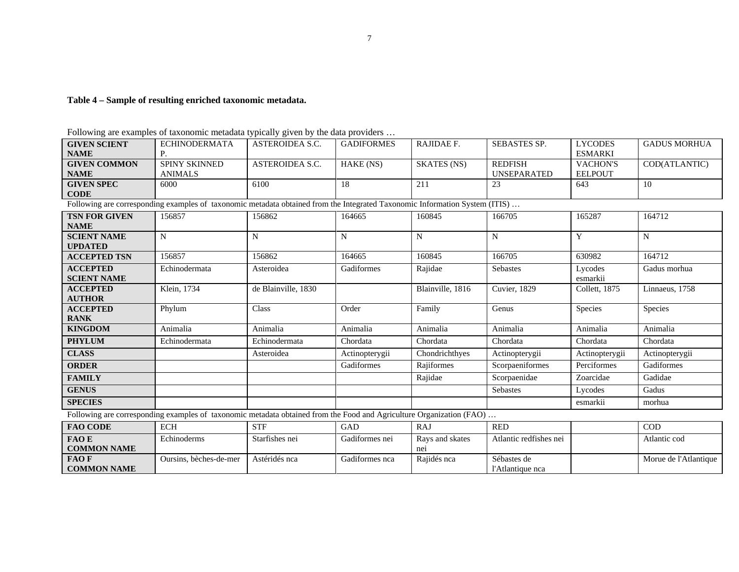# **Table 4 – Sample of resulting enriched taxonomic metadata.**

| Following are examples of taxonomic metadata typically given by the data providers |  |  |  |
|------------------------------------------------------------------------------------|--|--|--|
|                                                                                    |  |  |  |
|                                                                                    |  |  |  |

| <b>GIVEN SCIENT</b>                                                                                                         | <b>ECHINODERMATA</b>   | <b>ASTEROIDEA S.C.</b> | <b>GADIFORMES</b> | RAJIDAE F.             | <b>SEBASTES SP.</b>             | <b>LYCODES</b>      | <b>GADUS MORHUA</b>   |  |  |
|-----------------------------------------------------------------------------------------------------------------------------|------------------------|------------------------|-------------------|------------------------|---------------------------------|---------------------|-----------------------|--|--|
| <b>NAME</b>                                                                                                                 |                        |                        |                   |                        |                                 | <b>ESMARKI</b>      |                       |  |  |
| <b>GIVEN COMMON</b>                                                                                                         | SPINY SKINNED          | ASTEROIDEA S.C.        | HAKE (NS)         | <b>SKATES (NS)</b>     | <b>REDFISH</b>                  | <b>VACHON'S</b>     | COD(ATLANTIC)         |  |  |
| <b>NAME</b>                                                                                                                 | <b>ANIMALS</b>         |                        |                   |                        | <b>UNSEPARATED</b>              | <b>EELPOUT</b>      |                       |  |  |
| <b>GIVEN SPEC</b>                                                                                                           | 6000                   | 6100                   | 18                | 211                    | 23                              | 643                 | 10                    |  |  |
| <b>CODE</b>                                                                                                                 |                        |                        |                   |                        |                                 |                     |                       |  |  |
| Following are corresponding examples of taxonomic metadata obtained from the Integrated Taxonomic Information System (ITIS) |                        |                        |                   |                        |                                 |                     |                       |  |  |
| <b>TSN FOR GIVEN</b><br><b>NAME</b>                                                                                         | 156857                 | 156862                 | 164665            | 160845                 | 166705                          | 165287              | 164712                |  |  |
| <b>SCIENT NAME</b><br><b>UPDATED</b>                                                                                        | N                      | N                      | N                 | N                      | N                               | Y                   | N                     |  |  |
| <b>ACCEPTED TSN</b>                                                                                                         | 156857                 | 156862                 | 164665            | 160845                 | 166705                          | 630982              | 164712                |  |  |
| <b>ACCEPTED</b><br><b>SCIENT NAME</b>                                                                                       | Echinodermata          | Asteroidea             | Gadiformes        | Rajidae                | <b>Sebastes</b>                 | Lycodes<br>esmarkii | Gadus morhua          |  |  |
| <b>ACCEPTED</b><br><b>AUTHOR</b>                                                                                            | Klein, 1734            | de Blainville, 1830    |                   | Blainville, 1816       | <b>Cuvier</b> , 1829            | Collett, 1875       | Linnaeus, 1758        |  |  |
| <b>ACCEPTED</b><br><b>RANK</b>                                                                                              | Phylum                 | Class                  | Order             | Family                 | Genus                           | Species             | Species               |  |  |
| <b>KINGDOM</b>                                                                                                              | Animalia               | Animalia               | Animalia          | Animalia               | Animalia                        | Animalia            | Animalia              |  |  |
| <b>PHYLUM</b>                                                                                                               | Echinodermata          | Echinodermata          | Chordata          | Chordata               | Chordata                        | Chordata            | Chordata              |  |  |
| <b>CLASS</b>                                                                                                                |                        | Asteroidea             | Actinopterygii    | Chondrichthyes         | Actinopterygii                  | Actinopterygii      | Actinopterygii        |  |  |
| <b>ORDER</b>                                                                                                                |                        |                        | Gadiformes        | Rajiformes             | Scorpaeniformes                 | Perciformes         | Gadiformes            |  |  |
| <b>FAMILY</b>                                                                                                               |                        |                        |                   | Rajidae                | Scorpaenidae                    | Zoarcidae           | Gadidae               |  |  |
| <b>GENUS</b>                                                                                                                |                        |                        |                   |                        | <b>Sebastes</b>                 | Lycodes             | Gadus                 |  |  |
| <b>SPECIES</b>                                                                                                              |                        |                        |                   |                        |                                 | esmarkii            | morhua                |  |  |
| Following are corresponding examples of taxonomic metadata obtained from the Food and Agriculture Organization (FAO)        |                        |                        |                   |                        |                                 |                     |                       |  |  |
| <b>FAO CODE</b>                                                                                                             | <b>ECH</b>             | <b>STF</b>             | <b>GAD</b>        | <b>RAJ</b>             | <b>RED</b>                      |                     | $\rm COD$             |  |  |
| <b>FAOE</b><br><b>COMMON NAME</b>                                                                                           | Echinoderms            | Starfishes nei         | Gadiformes nei    | Rays and skates<br>nei | Atlantic redfishes nei          |                     | Atlantic cod          |  |  |
| FAO F<br><b>COMMON NAME</b>                                                                                                 | Oursins, bèches-de-mer | Astéridés nca          | Gadiformes nca    | Rajidés nca            | Sébastes de<br>l'Atlantique nca |                     | Morue de l'Atlantique |  |  |